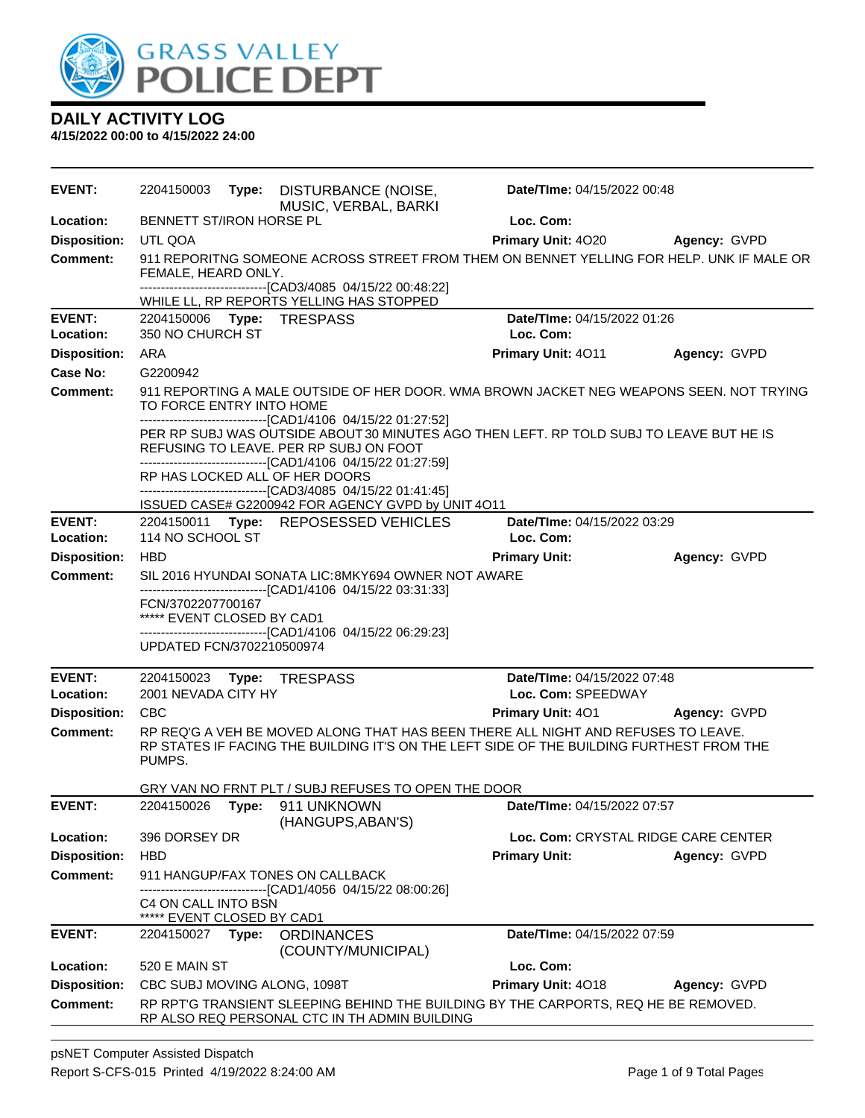

| EVENT:                     |                                                                              | 2204150003 Type: DISTURBANCE (NOISE,<br>MUSIC, VERBAL, BARKI                                                                                                                         | Date/TIme: 04/15/2022 00:48                                                                                                                                                   |                     |
|----------------------------|------------------------------------------------------------------------------|--------------------------------------------------------------------------------------------------------------------------------------------------------------------------------------|-------------------------------------------------------------------------------------------------------------------------------------------------------------------------------|---------------------|
| Location:                  | BENNETT ST/IRON HORSE PL                                                     |                                                                                                                                                                                      | Loc. Com:                                                                                                                                                                     |                     |
| <b>Disposition:</b>        | UTL QOA                                                                      |                                                                                                                                                                                      | <b>Primary Unit: 4020</b>                                                                                                                                                     | <b>Agency: GVPD</b> |
| <b>Comment:</b>            | FEMALE, HEARD ONLY.                                                          | -------------------------------[CAD3/4085 04/15/22 00:48:22]<br>WHILE LL, RP REPORTS YELLING HAS STOPPED                                                                             | 911 REPORITNG SOMEONE ACROSS STREET FROM THEM ON BENNET YELLING FOR HELP. UNK IF MALE OR                                                                                      |                     |
| <b>EVENT:</b><br>Location: | 350 NO CHURCH ST                                                             | 2204150006 Type: TRESPASS                                                                                                                                                            | Date/TIme: 04/15/2022 01:26<br>Loc. Com:                                                                                                                                      |                     |
| <b>Disposition:</b>        | <b>ARA</b>                                                                   |                                                                                                                                                                                      | Primary Unit: 4011                                                                                                                                                            | Agency: GVPD        |
| Case No:                   | G2200942                                                                     |                                                                                                                                                                                      |                                                                                                                                                                               |                     |
| Comment:                   | TO FORCE ENTRY INTO HOME                                                     | ------------------------------[CAD1/4106 04/15/22 01:27:52]                                                                                                                          | 911 REPORTING A MALE OUTSIDE OF HER DOOR. WMA BROWN JACKET NEG WEAPONS SEEN. NOT TRYING                                                                                       |                     |
|                            |                                                                              | REFUSING TO LEAVE. PER RP SUBJ ON FOOT<br>------------------------------[CAD1/4106 04/15/22 01:27:59]                                                                                | PER RP SUBJ WAS OUTSIDE ABOUT 30 MINUTES AGO THEN LEFT. RP TOLD SUBJ TO LEAVE BUT HE IS                                                                                       |                     |
|                            |                                                                              | RP HAS LOCKED ALL OF HER DOORS<br>-------------------------------[CAD3/4085 04/15/22 01:41:45]<br>ISSUED CASE# G2200942 FOR AGENCY GVPD by UNIT 4O11                                 |                                                                                                                                                                               |                     |
| <b>EVENT:</b>              |                                                                              | 2204150011 Type: REPOSESSED VEHICLES                                                                                                                                                 | Date/TIme: 04/15/2022 03:29                                                                                                                                                   |                     |
| Location:                  | 114 NO SCHOOL ST                                                             |                                                                                                                                                                                      | Loc. Com:                                                                                                                                                                     |                     |
| <b>Disposition:</b>        | <b>HBD</b>                                                                   |                                                                                                                                                                                      | <b>Primary Unit:</b>                                                                                                                                                          | Agency: GVPD        |
| <b>Comment:</b>            | FCN/3702207700167<br>***** EVENT CLOSED BY CAD1<br>UPDATED FCN/3702210500974 | SIL 2016 HYUNDAI SONATA LIC: 8MKY694 OWNER NOT AWARE<br>-------------------------------[CAD1/4106 04/15/22 03:31:33]<br>-------------------------------[CAD1/4106 04/15/22 06:29:23] |                                                                                                                                                                               |                     |
| <b>EVENT:</b>              |                                                                              | 2204150023 Type: TRESPASS                                                                                                                                                            | Date/TIme: 04/15/2022 07:48                                                                                                                                                   |                     |
| Location:                  | 2001 NEVADA CITY HY                                                          |                                                                                                                                                                                      | Loc. Com: SPEEDWAY                                                                                                                                                            |                     |
| <b>Disposition:</b>        | <b>CBC</b>                                                                   |                                                                                                                                                                                      | <b>Primary Unit: 401</b>                                                                                                                                                      | Agency: GVPD        |
| Comment:                   | PUMPS.                                                                       |                                                                                                                                                                                      | RP REQ'G A VEH BE MOVED ALONG THAT HAS BEEN THERE ALL NIGHT AND REFUSES TO LEAVE.<br>RP STATES IF FACING THE BUILDING IT'S ON THE LEFT SIDE OF THE BUILDING FURTHEST FROM THE |                     |
|                            |                                                                              | GRY VAN NO FRNT PLT / SUBJ REFUSES TO OPEN THE DOOR                                                                                                                                  |                                                                                                                                                                               |                     |
| <b>EVENT:</b>              |                                                                              | 2204150026    Type: 911    UNKNOWN<br>(HANGUPS, ABAN'S)                                                                                                                              | Date/TIme: 04/15/2022 07:57                                                                                                                                                   |                     |
| Location:                  | 396 DORSEY DR                                                                |                                                                                                                                                                                      | Loc. Com: CRYSTAL RIDGE CARE CENTER                                                                                                                                           |                     |
| <b>Disposition:</b>        | <b>HBD</b>                                                                   |                                                                                                                                                                                      | <b>Primary Unit:</b>                                                                                                                                                          | Agency: GVPD        |
| <b>Comment:</b>            |                                                                              | 911 HANGUP/FAX TONES ON CALLBACK<br>-------------------------[CAD1/4056_04/15/22_08:00:26]                                                                                           |                                                                                                                                                                               |                     |
|                            | C4 ON CALL INTO BSN<br>***** EVENT CLOSED BY CAD1                            |                                                                                                                                                                                      |                                                                                                                                                                               |                     |
| <b>EVENT:</b>              | 2204150027 Type:                                                             | <b>ORDINANCES</b><br>(COUNTY/MUNICIPAL)                                                                                                                                              | Date/TIme: 04/15/2022 07:59                                                                                                                                                   |                     |
| Location:                  | 520 E MAIN ST                                                                |                                                                                                                                                                                      | Loc. Com:                                                                                                                                                                     |                     |
| <b>Disposition:</b>        | CBC SUBJ MOVING ALONG, 1098T                                                 |                                                                                                                                                                                      | Primary Unit: 4018                                                                                                                                                            | Agency: GVPD        |
| <b>Comment:</b>            |                                                                              | RP ALSO REQ PERSONAL CTC IN TH ADMIN BUILDING                                                                                                                                        | RP RPT'G TRANSIENT SLEEPING BEHIND THE BUILDING BY THE CARPORTS, REQ HE BE REMOVED.                                                                                           |                     |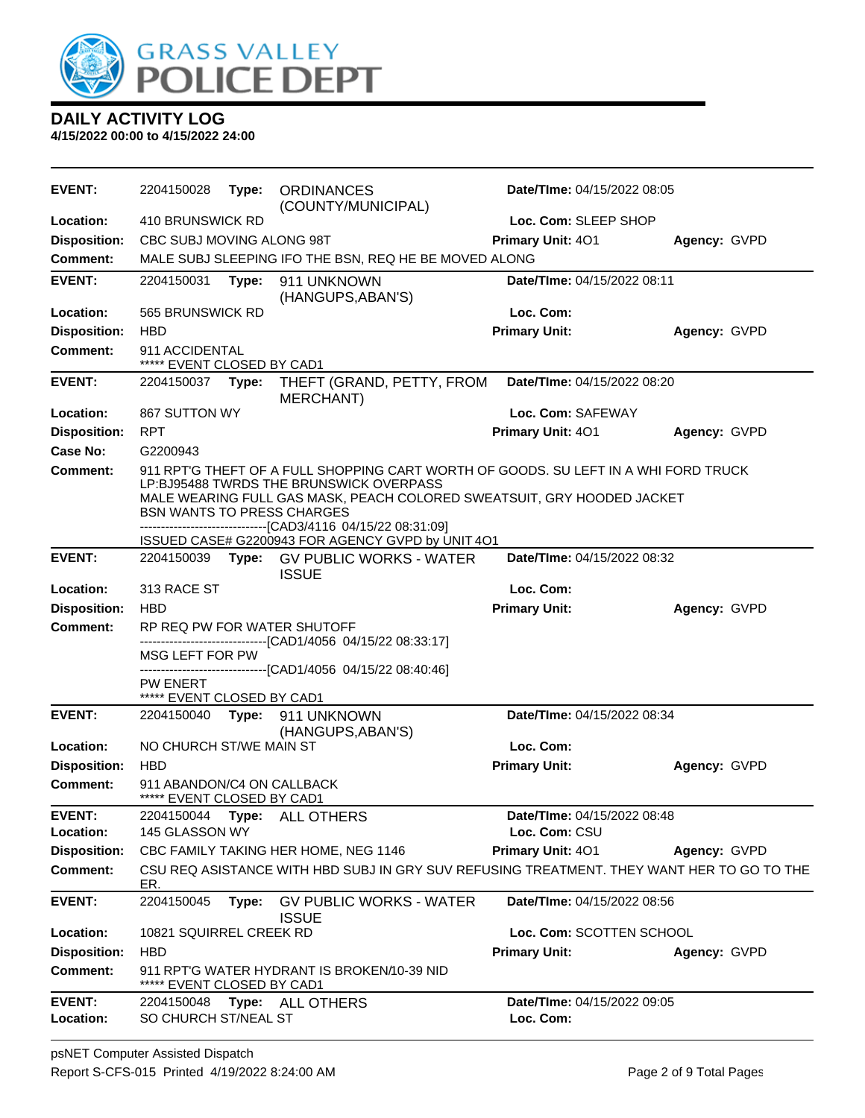

| <b>EVENT:</b>              | 2204150028                                               | Type: | <b>ORDINANCES</b><br>(COUNTY/MUNICIPAL)                                                                                                                                                                  | Date/TIme: 04/15/2022 08:05                  |              |
|----------------------------|----------------------------------------------------------|-------|----------------------------------------------------------------------------------------------------------------------------------------------------------------------------------------------------------|----------------------------------------------|--------------|
| Location:                  | 410 BRUNSWICK RD                                         |       |                                                                                                                                                                                                          | Loc. Com: SLEEP SHOP                         |              |
| <b>Disposition:</b>        | CBC SUBJ MOVING ALONG 98T                                |       |                                                                                                                                                                                                          | Primary Unit: 401                            | Agency: GVPD |
| <b>Comment:</b>            |                                                          |       | MALE SUBJ SLEEPING IFO THE BSN, REQ HE BE MOVED ALONG                                                                                                                                                    |                                              |              |
| <b>EVENT:</b>              | 2204150031                                               | Type: | 911 UNKNOWN<br>(HANGUPS, ABAN'S)                                                                                                                                                                         | Date/TIme: 04/15/2022 08:11                  |              |
| Location:                  | 565 BRUNSWICK RD                                         |       |                                                                                                                                                                                                          | Loc. Com:                                    |              |
| <b>Disposition:</b>        | <b>HBD</b>                                               |       |                                                                                                                                                                                                          | <b>Primary Unit:</b>                         | Agency: GVPD |
| Comment:                   | 911 ACCIDENTAL<br>***** EVENT CLOSED BY CAD1             |       |                                                                                                                                                                                                          |                                              |              |
| <b>EVENT:</b>              | 2204150037                                               | Type: | THEFT (GRAND, PETTY, FROM<br><b>MERCHANT)</b>                                                                                                                                                            | Date/TIme: 04/15/2022 08:20                  |              |
| Location:                  | 867 SUTTON WY                                            |       |                                                                                                                                                                                                          | Loc. Com: SAFEWAY                            |              |
| <b>Disposition:</b>        | <b>RPT</b>                                               |       |                                                                                                                                                                                                          | Primary Unit: 401                            | Agency: GVPD |
| Case No:                   | G2200943                                                 |       |                                                                                                                                                                                                          |                                              |              |
| <b>Comment:</b>            | <b>BSN WANTS TO PRESS CHARGES</b>                        |       | 911 RPT'G THEFT OF A FULL SHOPPING CART WORTH OF GOODS. SU LEFT IN A WHI FORD TRUCK<br>LP:BJ95488 TWRDS THE BRUNSWICK OVERPASS<br>MALE WEARING FULL GAS MASK, PEACH COLORED SWEATSUIT, GRY HOODED JACKET |                                              |              |
|                            |                                                          |       | -------------------------------[CAD3/4116 04/15/22 08:31:09]                                                                                                                                             |                                              |              |
|                            |                                                          |       | ISSUED CASE# G2200943 FOR AGENCY GVPD by UNIT 4O1                                                                                                                                                        |                                              |              |
| <b>EVENT:</b>              |                                                          |       | 2204150039 Type: GV PUBLIC WORKS - WATER<br><b>ISSUE</b>                                                                                                                                                 | Date/TIme: 04/15/2022 08:32                  |              |
| Location:                  | 313 RACE ST                                              |       |                                                                                                                                                                                                          | Loc. Com:                                    |              |
| <b>Disposition:</b>        | <b>HBD</b>                                               |       |                                                                                                                                                                                                          | <b>Primary Unit:</b>                         | Agency: GVPD |
| <b>Comment:</b>            |                                                          |       | RP REQ PW FOR WATER SHUTOFF                                                                                                                                                                              |                                              |              |
|                            | MSG LEFT FOR PW                                          |       | -------------------------------[CAD1/4056 04/15/22 08:33:17]                                                                                                                                             |                                              |              |
|                            |                                                          |       | -------------------[CAD1/4056_04/15/22 08:40:46]                                                                                                                                                         |                                              |              |
|                            | PW ENERT                                                 |       |                                                                                                                                                                                                          |                                              |              |
| <b>EVENT:</b>              | ***** EVENT CLOSED BY CAD1<br>2204150040                 | Type: | 911 UNKNOWN                                                                                                                                                                                              | Date/TIme: 04/15/2022 08:34                  |              |
|                            |                                                          |       | (HANGUPS, ABAN'S)                                                                                                                                                                                        |                                              |              |
| Location:                  | NO CHURCH ST/WE MAIN ST                                  |       |                                                                                                                                                                                                          | Loc. Com:                                    |              |
| <b>Disposition:</b>        | <b>HBD</b>                                               |       |                                                                                                                                                                                                          | <b>Primary Unit:</b>                         | Agency: GVPD |
| <b>Comment:</b>            | 911 ABANDON/C4 ON CALLBACK<br>***** EVENT CLOSED BY CAD1 |       |                                                                                                                                                                                                          |                                              |              |
| <b>EVENT:</b><br>Location: | 2204150044<br>145 GLASSON WY                             |       | Type: ALL OTHERS                                                                                                                                                                                         | Date/TIme: 04/15/2022 08:48<br>Loc. Com: CSU |              |
| <b>Disposition:</b>        |                                                          |       | CBC FAMILY TAKING HER HOME, NEG 1146                                                                                                                                                                     | Primary Unit: 401                            | Agency: GVPD |
| <b>Comment:</b>            | ER.                                                      |       | CSU REQ ASISTANCE WITH HBD SUBJ IN GRY SUV REFUSING TREATMENT. THEY WANT HER TO GO TO THE                                                                                                                |                                              |              |
| <b>EVENT:</b>              | 2204150045                                               | Type: | <b>GV PUBLIC WORKS - WATER</b><br><b>ISSUE</b>                                                                                                                                                           | Date/TIme: 04/15/2022 08:56                  |              |
| Location:                  | 10821 SQUIRREL CREEK RD                                  |       |                                                                                                                                                                                                          | Loc. Com: SCOTTEN SCHOOL                     |              |
| <b>Disposition:</b>        | <b>HBD</b>                                               |       |                                                                                                                                                                                                          | <b>Primary Unit:</b>                         | Agency: GVPD |
| <b>Comment:</b>            | EVENT CLOSED BY CAD1                                     |       | 911 RPT'G WATER HYDRANT IS BROKEN/10-39 NID                                                                                                                                                              |                                              |              |
| <b>EVENT:</b>              | 2204150048                                               |       | Type: ALL OTHERS                                                                                                                                                                                         | Date/TIme: 04/15/2022 09:05                  |              |
|                            |                                                          |       |                                                                                                                                                                                                          |                                              |              |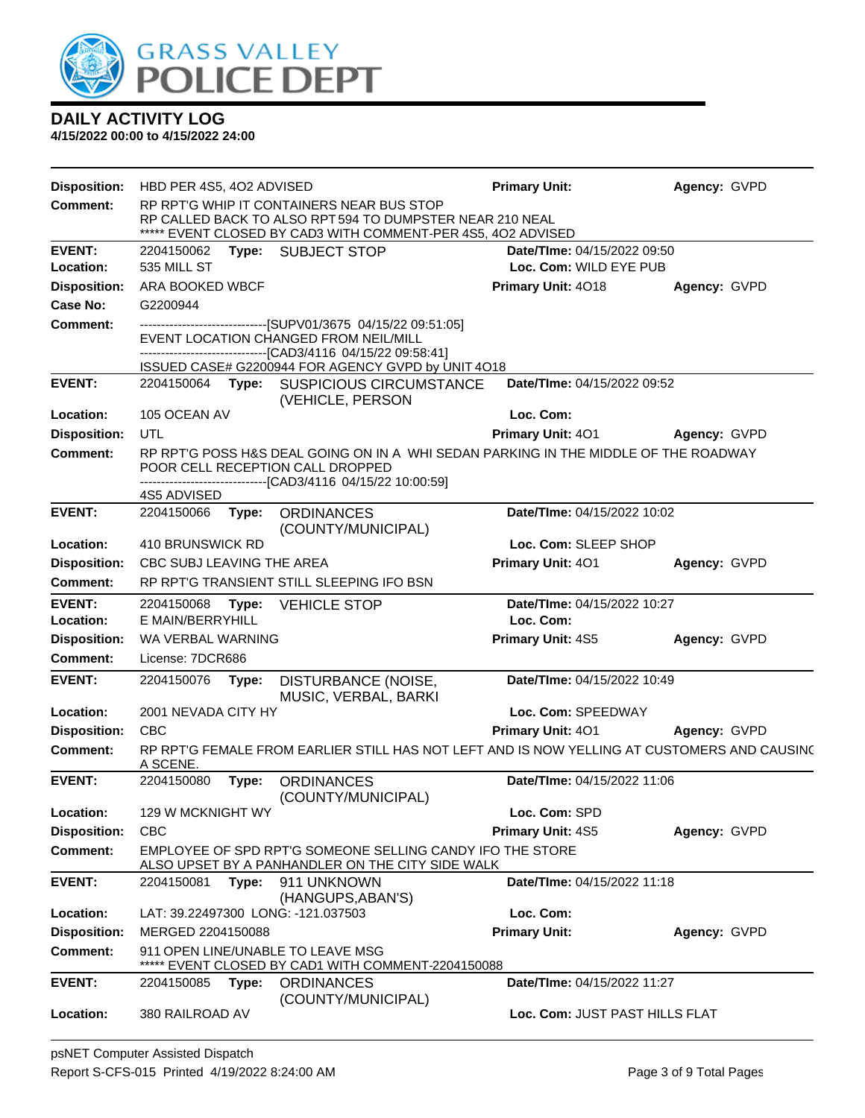

| <b>Disposition:</b>        | HBD PER 4S5, 4O2 ADVISED                                                                                                                                                               |       |                                                                                                               | <b>Primary Unit:</b>                     | Agency: GVPD        |
|----------------------------|----------------------------------------------------------------------------------------------------------------------------------------------------------------------------------------|-------|---------------------------------------------------------------------------------------------------------------|------------------------------------------|---------------------|
| <b>Comment:</b>            | RP RPT'G WHIP IT CONTAINERS NEAR BUS STOP                                                                                                                                              |       |                                                                                                               |                                          |                     |
|                            | RP CALLED BACK TO ALSO RPT 594 TO DUMPSTER NEAR 210 NEAL                                                                                                                               |       |                                                                                                               |                                          |                     |
| <b>EVENT:</b>              |                                                                                                                                                                                        |       | ***** EVENT CLOSED BY CAD3 WITH COMMENT-PER 4S5, 4O2 ADVISED<br>2204150062 Type: SUBJECT STOP                 | Date/TIme: 04/15/2022 09:50              |                     |
| Location:                  | 535 MILL ST                                                                                                                                                                            |       |                                                                                                               | Loc. Com: WILD EYE PUB                   |                     |
| <b>Disposition:</b>        | ARA BOOKED WBCF                                                                                                                                                                        |       |                                                                                                               | <b>Primary Unit: 4018</b>                | Agency: GVPD        |
| Case No:                   | G2200944                                                                                                                                                                               |       |                                                                                                               |                                          |                     |
| <b>Comment:</b>            |                                                                                                                                                                                        |       | ------------------------------[SUPV01/3675 04/15/22 09:51:05]                                                 |                                          |                     |
|                            |                                                                                                                                                                                        |       | EVENT LOCATION CHANGED FROM NEIL/MILL<br>--------------------------------[CAD3/4116 04/15/22 09:58:41]        |                                          |                     |
|                            |                                                                                                                                                                                        |       | ISSUED CASE# G2200944 FOR AGENCY GVPD by UNIT 4O18                                                            |                                          |                     |
| <b>EVENT:</b>              |                                                                                                                                                                                        |       | 2204150064 Type: SUSPICIOUS CIRCUMSTANCE<br>(VEHICLE, PERSON                                                  | Date/TIme: 04/15/2022 09:52              |                     |
| Location:                  | 105 OCEAN AV                                                                                                                                                                           |       |                                                                                                               | Loc. Com:                                |                     |
| <b>Disposition:</b>        | UTL                                                                                                                                                                                    |       |                                                                                                               | <b>Primary Unit: 401</b>                 | Agency: GVPD        |
| <b>Comment:</b>            | RP RPT'G POSS H&S DEAL GOING ON IN A WHI SEDAN PARKING IN THE MIDDLE OF THE ROADWAY<br>POOR CELL RECEPTION CALL DROPPED<br>------------------------------[CAD3/4116_04/15/22_10:00:59] |       |                                                                                                               |                                          |                     |
|                            | 4S5 ADVISED                                                                                                                                                                            |       |                                                                                                               |                                          |                     |
| <b>EVENT:</b>              | 2204150066                                                                                                                                                                             | Type: | <b>ORDINANCES</b><br>(COUNTY/MUNICIPAL)                                                                       | Date/TIme: 04/15/2022 10:02              |                     |
| Location:                  | 410 BRUNSWICK RD                                                                                                                                                                       |       |                                                                                                               | Loc. Com: SLEEP SHOP                     |                     |
| <b>Disposition:</b>        | CBC SUBJ LEAVING THE AREA                                                                                                                                                              |       |                                                                                                               | Primary Unit: 401                        | Agency: GVPD        |
| <b>Comment:</b>            |                                                                                                                                                                                        |       | RP RPT'G TRANSIENT STILL SLEEPING IFO BSN                                                                     |                                          |                     |
| <b>EVENT:</b><br>Location: | E MAIN/BERRYHILL                                                                                                                                                                       |       | 2204150068 Type: VEHICLE STOP                                                                                 | Date/TIme: 04/15/2022 10:27<br>Loc. Com: |                     |
| <b>Disposition:</b>        | WA VERBAL WARNING                                                                                                                                                                      |       |                                                                                                               | Primary Unit: 4S5                        | Agency: GVPD        |
| <b>Comment:</b>            | License: 7DCR686                                                                                                                                                                       |       |                                                                                                               |                                          |                     |
| <b>EVENT:</b>              | 2204150076                                                                                                                                                                             | Type: | DISTURBANCE (NOISE,<br>MUSIC, VERBAL, BARKI                                                                   | Date/TIme: 04/15/2022 10:49              |                     |
| Location:                  | 2001 NEVADA CITY HY                                                                                                                                                                    |       |                                                                                                               | Loc. Com: SPEEDWAY                       |                     |
| <b>Disposition:</b>        | <b>CBC</b>                                                                                                                                                                             |       |                                                                                                               | <b>Primary Unit: 401</b>                 | <b>Agency: GVPD</b> |
| Comment:                   | A SCENE.                                                                                                                                                                               |       | RP RPT'G FEMALE FROM EARLIER STILL HAS NOT LEFT AND IS NOW YELLING AT CUSTOMERS AND CAUSINC                   |                                          |                     |
| <b>EVENT:</b>              | 2204150080                                                                                                                                                                             | Type: | <b>ORDINANCES</b><br>(COUNTY/MUNICIPAL)                                                                       | Date/TIme: 04/15/2022 11:06              |                     |
| Location:                  | 129 W MCKNIGHT WY                                                                                                                                                                      |       |                                                                                                               | Loc. Com: SPD                            |                     |
| <b>Disposition:</b>        | <b>CBC</b>                                                                                                                                                                             |       |                                                                                                               | Primary Unit: 4S5                        | Agency: GVPD        |
| <b>Comment:</b>            |                                                                                                                                                                                        |       | EMPLOYEE OF SPD RPT'G SOMEONE SELLING CANDY IFO THE STORE<br>ALSO UPSET BY A PANHANDLER ON THE CITY SIDE WALK |                                          |                     |
| <b>EVENT:</b>              | 2204150081                                                                                                                                                                             | Type: | 911 UNKNOWN<br>(HANGUPS, ABAN'S)                                                                              | <b>Date/Time: 04/15/2022 11:18</b>       |                     |
| Location:                  |                                                                                                                                                                                        |       | LAT: 39.22497300 LONG: -121.037503                                                                            | Loc. Com:                                |                     |
| <b>Disposition:</b>        | MERGED 2204150088                                                                                                                                                                      |       |                                                                                                               | <b>Primary Unit:</b>                     | Agency: GVPD        |
| <b>Comment:</b>            |                                                                                                                                                                                        |       | 911 OPEN LINE/UNABLE TO LEAVE MSG<br>EVENT CLOSED BY CAD1 WITH COMMENT-2204150088                             |                                          |                     |
| <b>EVENT:</b>              | 2204150085                                                                                                                                                                             | Type: | <b>ORDINANCES</b><br>(COUNTY/MUNICIPAL)                                                                       | Date/TIme: 04/15/2022 11:27              |                     |
| Location:                  | 380 RAILROAD AV                                                                                                                                                                        |       |                                                                                                               | Loc. Com: JUST PAST HILLS FLAT           |                     |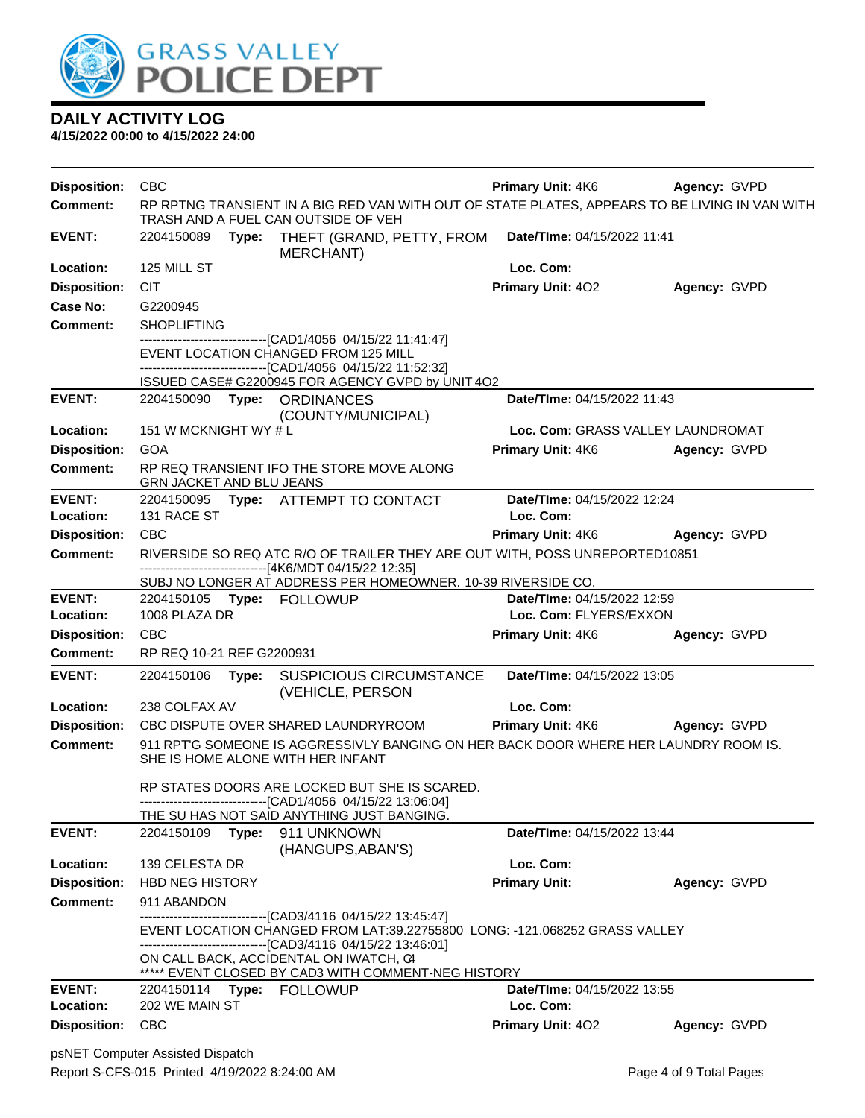

| <b>Disposition:</b> | CBC                                                                                                                                                                                                 | <b>Primary Unit: 4K6</b>          | Agency: GVPD        |
|---------------------|-----------------------------------------------------------------------------------------------------------------------------------------------------------------------------------------------------|-----------------------------------|---------------------|
| <b>Comment:</b>     | RP RPTNG TRANSIENT IN A BIG RED VAN WITH OUT OF STATE PLATES, APPEARS TO BE LIVING IN VAN WITH<br>TRASH AND A FUEL CAN OUTSIDE OF VEH                                                               |                                   |                     |
| <b>EVENT:</b>       | 2204150089 Type: THEFT (GRAND, PETTY, FROM<br>MERCHANT)                                                                                                                                             | Date/TIme: 04/15/2022 11:41       |                     |
| Location:           | 125 MILL ST                                                                                                                                                                                         | Loc. Com:                         |                     |
| <b>Disposition:</b> | <b>CIT</b>                                                                                                                                                                                          | Primary Unit: 402                 | Agency: GVPD        |
| Case No:            | G2200945                                                                                                                                                                                            |                                   |                     |
| <b>Comment:</b>     | <b>SHOPLIFTING</b>                                                                                                                                                                                  |                                   |                     |
|                     | --------------------------------[CAD1/4056 04/15/22 11:41:47]<br>EVENT LOCATION CHANGED FROM 125 MILL<br>--------------------[CAD1/4056_04/15/22_11:52:32]                                          |                                   |                     |
|                     | ISSUED CASE# G2200945 FOR AGENCY GVPD by UNIT 4O2                                                                                                                                                   |                                   |                     |
| <b>EVENT:</b>       | 2204150090 Type: ORDINANCES<br>(COUNTY/MUNICIPAL)                                                                                                                                                   | Date/TIme: 04/15/2022 11:43       |                     |
| Location:           | 151 W MCKNIGHT WY # L                                                                                                                                                                               | Loc. Com: GRASS VALLEY LAUNDROMAT |                     |
| <b>Disposition:</b> | <b>GOA</b>                                                                                                                                                                                          | <b>Primary Unit: 4K6</b>          | Agency: GVPD        |
| <b>Comment:</b>     | RP REQ TRANSIENT IFO THE STORE MOVE ALONG<br><b>GRN JACKET AND BLU JEANS</b>                                                                                                                        |                                   |                     |
| <b>EVENT:</b>       | 2204150095 Type: ATTEMPT TO CONTACT                                                                                                                                                                 | Date/TIme: 04/15/2022 12:24       |                     |
| Location:           | 131 RACE ST                                                                                                                                                                                         | Loc. Com:                         |                     |
| <b>Disposition:</b> | <b>CBC</b>                                                                                                                                                                                          | <b>Primary Unit: 4K6</b>          | Agency: GVPD        |
| <b>Comment:</b>     | RIVERSIDE SO REQ ATC R/O OF TRAILER THEY ARE OUT WITH, POSS UNREPORTED10851<br>-------------------------------[4K6/MDT 04/15/22 12:35]                                                              |                                   |                     |
|                     | SUBJ NO LONGER AT ADDRESS PER HOMEOWNER. 10-39 RIVERSIDE CO.                                                                                                                                        |                                   |                     |
| <b>EVENT:</b>       | 2204150105 Type: FOLLOWUP                                                                                                                                                                           | Date/TIme: 04/15/2022 12:59       |                     |
| Location:           | 1008 PLAZA DR                                                                                                                                                                                       | Loc. Com: FLYERS/EXXON            |                     |
| <b>Disposition:</b> | <b>CBC</b>                                                                                                                                                                                          | Primary Unit: 4K6                 | Agency: GVPD        |
| <b>Comment:</b>     | RP REQ 10-21 REF G2200931                                                                                                                                                                           |                                   |                     |
| <b>EVENT:</b>       | 2204150106<br>Type:<br><b>SUSPICIOUS CIRCUMSTANCE</b><br>(VEHICLE, PERSON                                                                                                                           | Date/TIme: 04/15/2022 13:05       |                     |
| Location:           | 238 COLFAX AV                                                                                                                                                                                       | Loc. Com:                         |                     |
| <b>Disposition:</b> | CBC DISPUTE OVER SHARED LAUNDRYROOM                                                                                                                                                                 | <b>Primary Unit: 4K6</b>          | <b>Agency: GVPD</b> |
| <b>Comment:</b>     | 911 RPT'G SOMEONE IS AGGRESSIVLY BANGING ON HER BACK DOOR WHERE HER LAUNDRY ROOM IS.<br>SHE IS HOME ALONE WITH HER INFANT                                                                           |                                   |                     |
|                     | RP STATES DOORS ARE LOCKED BUT SHE IS SCARED.<br>--------------------------[CAD1/4056_04/15/22 13:06:04]                                                                                            |                                   |                     |
|                     | THE SU HAS NOT SAID ANYTHING JUST BANGING.                                                                                                                                                          |                                   |                     |
| <b>EVENT:</b>       | 2204150109<br>Type:<br>911 UNKNOWN<br>(HANGUPS, ABAN'S)                                                                                                                                             | Date/TIme: 04/15/2022 13:44       |                     |
| Location:           | 139 CELESTA DR                                                                                                                                                                                      | Loc. Com:                         |                     |
| <b>Disposition:</b> | <b>HBD NEG HISTORY</b>                                                                                                                                                                              | <b>Primary Unit:</b>              | Agency: GVPD        |
| <b>Comment:</b>     | 911 ABANDON                                                                                                                                                                                         |                                   |                     |
|                     | ------------------------[CAD3/4116_04/15/22_13:45:47]<br>EVENT LOCATION CHANGED FROM LAT:39.22755800 LONG: -121.068252 GRASS VALLEY<br>-------------------------------[CAD3/4116 04/15/22 13:46:01] |                                   |                     |
|                     | ON CALL BACK, ACCIDENTAL ON IWATCH, C4<br>***** EVENT CLOSED BY CAD3 WITH COMMENT-NEG HISTORY                                                                                                       |                                   |                     |
| <b>EVENT:</b>       | 2204150114<br>Type: FOLLOWUP                                                                                                                                                                        | Date/TIme: 04/15/2022 13:55       |                     |
| Location:           | 202 WE MAIN ST                                                                                                                                                                                      | Loc. Com:                         |                     |
| <b>Disposition:</b> | <b>CBC</b>                                                                                                                                                                                          | Primary Unit: 402                 | Agency: GVPD        |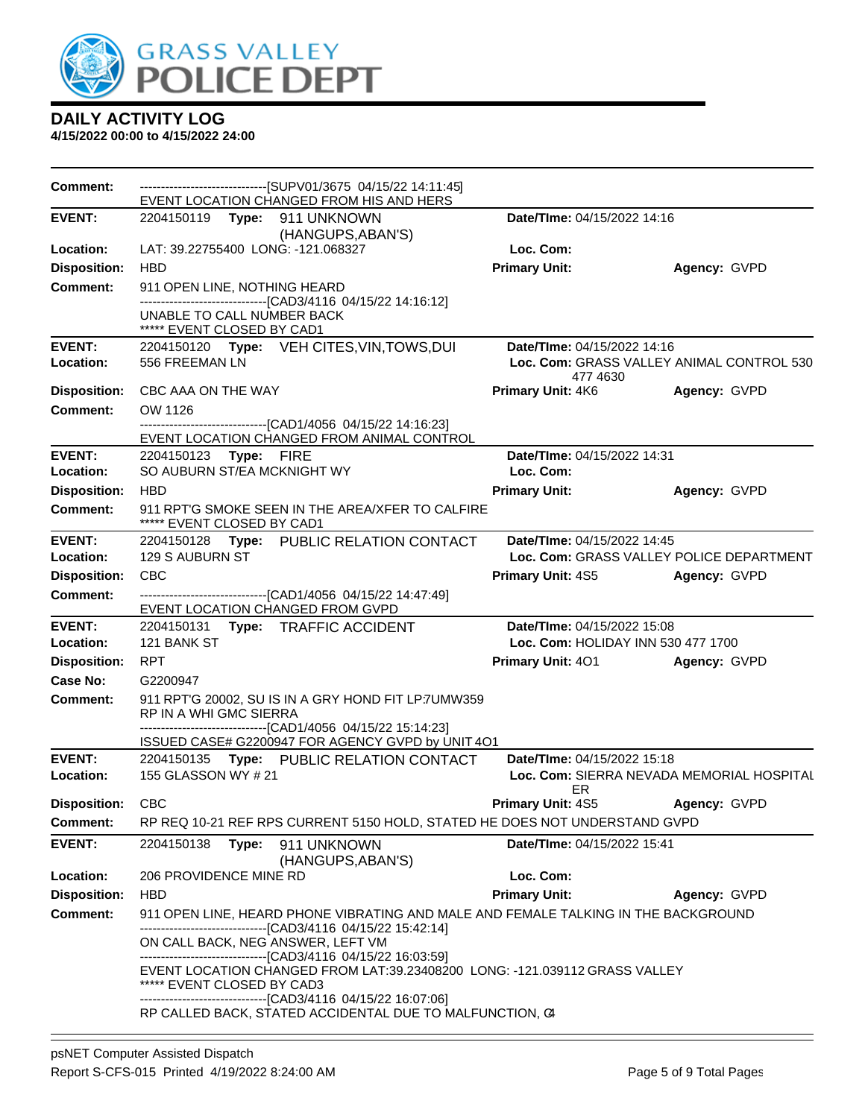

| Comment:            | -------------------------------[SUPV01/3675 04/15/22 14:11:45]<br>EVENT LOCATION CHANGED FROM HIS AND HERS                                         |                                    |                                           |  |  |
|---------------------|----------------------------------------------------------------------------------------------------------------------------------------------------|------------------------------------|-------------------------------------------|--|--|
| <b>EVENT:</b>       | 2204150119    Type: 911    UNKNOWN                                                                                                                 | Date/TIme: 04/15/2022 14:16        |                                           |  |  |
| Location:           | (HANGUPS, ABAN'S)<br>LAT: 39.22755400 LONG: -121.068327                                                                                            | Loc. Com:                          |                                           |  |  |
| <b>Disposition:</b> | <b>HBD</b>                                                                                                                                         | <b>Primary Unit:</b>               | Agency: GVPD                              |  |  |
| <b>Comment:</b>     | 911 OPEN LINE, NOTHING HEARD                                                                                                                       |                                    |                                           |  |  |
|                     | -------------------------------[CAD3/4116 04/15/22 14:16:12]                                                                                       |                                    |                                           |  |  |
|                     | UNABLE TO CALL NUMBER BACK                                                                                                                         |                                    |                                           |  |  |
| <b>EVENT:</b>       | ***** EVENT CLOSED BY CAD1<br>2204150120 Type: VEH CITES, VIN, TOWS, DUI                                                                           | Date/TIme: 04/15/2022 14:16        |                                           |  |  |
| Location:           | 556 FREEMAN LN                                                                                                                                     |                                    | Loc. Com: GRASS VALLEY ANIMAL CONTROL 530 |  |  |
|                     |                                                                                                                                                    | 477 4630                           |                                           |  |  |
| <b>Disposition:</b> | CBC AAA ON THE WAY                                                                                                                                 | <b>Primary Unit: 4K6</b>           | Agency: GVPD                              |  |  |
| Comment:            | OW 1126<br>-------------------------------[CAD1/4056 04/15/22 14:16:23]                                                                            |                                    |                                           |  |  |
|                     | EVENT LOCATION CHANGED FROM ANIMAL CONTROL                                                                                                         |                                    |                                           |  |  |
| <b>EVENT:</b>       | 2204150123 Type: FIRE                                                                                                                              | Date/TIme: 04/15/2022 14:31        |                                           |  |  |
| Location:           | SO AUBURN ST/EA MCKNIGHT WY                                                                                                                        | Loc. Com:                          |                                           |  |  |
| <b>Disposition:</b> | <b>HBD</b>                                                                                                                                         | <b>Primary Unit:</b>               | Agency: GVPD                              |  |  |
| <b>Comment:</b>     | 911 RPT'G SMOKE SEEN IN THE AREA/XFER TO CALFIRE<br>***** EVENT CLOSED BY CAD1                                                                     |                                    |                                           |  |  |
| <b>EVENT:</b>       | 2204150128 Type: PUBLIC RELATION CONTACT                                                                                                           | Date/TIme: 04/15/2022 14:45        |                                           |  |  |
| Location:           | 129 S AUBURN ST                                                                                                                                    |                                    | Loc. Com: GRASS VALLEY POLICE DEPARTMENT  |  |  |
| <b>Disposition:</b> | CBC                                                                                                                                                | <b>Primary Unit: 4S5</b>           | Agency: GVPD                              |  |  |
| <b>Comment:</b>     | -------------------------------[CAD1/4056 04/15/22 14:47:49]<br>EVENT LOCATION CHANGED FROM GVPD                                                   |                                    |                                           |  |  |
| <b>EVENT:</b>       | 2204150131 Type: TRAFFIC ACCIDENT                                                                                                                  | Date/TIme: 04/15/2022 15:08        |                                           |  |  |
| Location:           | 121 BANK ST                                                                                                                                        | Loc. Com: HOLIDAY INN 530 477 1700 |                                           |  |  |
| <b>Disposition:</b> | <b>RPT</b>                                                                                                                                         | <b>Primary Unit: 401</b>           | Agency: GVPD                              |  |  |
| Case No:            | G2200947                                                                                                                                           |                                    |                                           |  |  |
| Comment:            | 911 RPT'G 20002, SU IS IN A GRY HOND FIT LP:7UMW359<br>RP IN A WHI GMC SIERRA                                                                      |                                    |                                           |  |  |
|                     | --------------------------------[CAD1/4056 04/15/22 15:14:23]<br>ISSUED CASE# G2200947 FOR AGENCY GVPD by UNIT 4O1                                 |                                    |                                           |  |  |
| <b>EVENT:</b>       | 2204150135 Type: PUBLIC RELATION CONTACT                                                                                                           | Date/TIme: 04/15/2022 15:18        |                                           |  |  |
| Location:           | 155 GLASSON WY # 21                                                                                                                                | ER                                 | Loc. Com: SIERRA NEVADA MEMORIAL HOSPITAL |  |  |
| Disposition: CBC    |                                                                                                                                                    | <b>Primary Unit: 4S5</b>           | Agency: GVPD                              |  |  |
| <b>Comment:</b>     | RP REQ 10-21 REF RPS CURRENT 5150 HOLD, STATED HE DOES NOT UNDERSTAND GVPD                                                                         |                                    |                                           |  |  |
| <b>EVENT:</b>       | 2204150138<br>Type: 911 UNKNOWN<br>(HANGUPS, ABAN'S)                                                                                               | Date/TIme: 04/15/2022 15:41        |                                           |  |  |
| Location:           | 206 PROVIDENCE MINE RD                                                                                                                             | Loc. Com:                          |                                           |  |  |
| <b>Disposition:</b> | <b>HBD</b>                                                                                                                                         | <b>Primary Unit:</b>               | Agency: GVPD                              |  |  |
| <b>Comment:</b>     | 911 OPEN LINE, HEARD PHONE VIBRATING AND MALE AND FEMALE TALKING IN THE BACKGROUND<br>-------------------------------[CAD3/4116 04/15/22 15:42:14] |                                    |                                           |  |  |
|                     | ON CALL BACK, NEG ANSWER, LEFT VM                                                                                                                  |                                    |                                           |  |  |
|                     | --------------------------------[CAD3/4116 04/15/22 16:03:59]<br>EVENT LOCATION CHANGED FROM LAT:39.23408200 LONG: -121.039112 GRASS VALLEY        |                                    |                                           |  |  |
|                     | ****** EVENT CLOSED BY CAD3<br>-------------------------------[CAD3/4116 04/15/22 16:07:06]                                                        |                                    |                                           |  |  |
|                     | RP CALLED BACK, STATED ACCIDENTAL DUE TO MALFUNCTION, C4                                                                                           |                                    |                                           |  |  |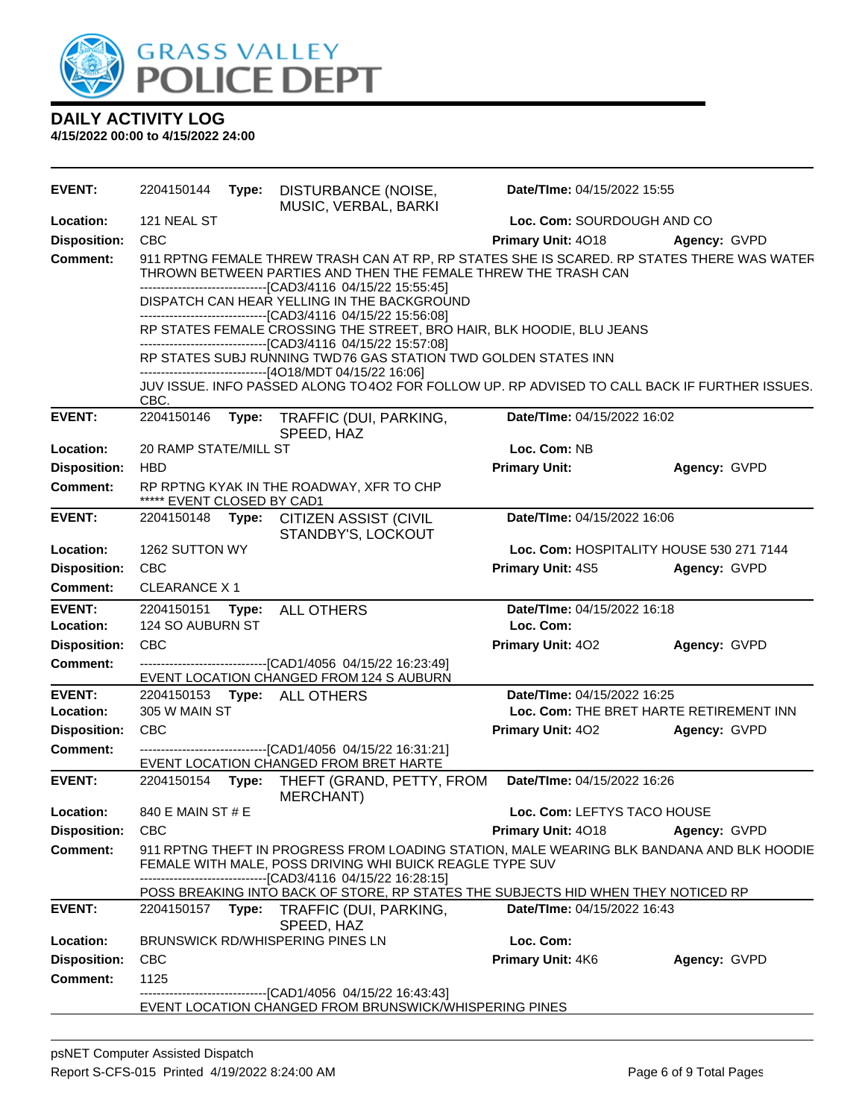

| <b>EVENT:</b>       | 2204150144                 | Type: | DISTURBANCE (NOISE,<br>MUSIC, VERBAL, BARKI                                                                                                                                                                                 | Date/TIme: 04/15/2022 15:55 |                                          |  |
|---------------------|----------------------------|-------|-----------------------------------------------------------------------------------------------------------------------------------------------------------------------------------------------------------------------------|-----------------------------|------------------------------------------|--|
| Location:           | 121 NEAL ST                |       |                                                                                                                                                                                                                             | Loc. Com: SOURDOUGH AND CO  |                                          |  |
| <b>Disposition:</b> | CBC                        |       |                                                                                                                                                                                                                             | Primary Unit: 4018          | Agency: GVPD                             |  |
| <b>Comment:</b>     |                            |       | 911 RPTNG FEMALE THREW TRASH CAN AT RP, RP STATES SHE IS SCARED. RP STATES THERE WAS WATER<br>THROWN BETWEEN PARTIES AND THEN THE FEMALE THREW THE TRASH CAN<br>------------------------------[CAD3/4116 04/15/22 15:55:45] |                             |                                          |  |
|                     |                            |       | DISPATCH CAN HEAR YELLING IN THE BACKGROUND<br>-------------------------------[CAD3/4116 04/15/22 15:56:08]                                                                                                                 |                             |                                          |  |
|                     |                            |       | RP STATES FEMALE CROSSING THE STREET, BRO HAIR, BLK HOODIE, BLU JEANS<br>-----------------------------------[CAD3/4116 04/15/22 15:57:08]                                                                                   |                             |                                          |  |
|                     |                            |       | RP STATES SUBJ RUNNING TWD 76 GAS STATION TWD GOLDEN STATES INN<br>----------------------[4O18/MDT 04/15/22 16:06]                                                                                                          |                             |                                          |  |
|                     | CBC.                       |       | JUV ISSUE. INFO PASSED ALONG TO 402 FOR FOLLOW UP. RP ADVISED TO CALL BACK IF FURTHER ISSUES.                                                                                                                               |                             |                                          |  |
| <b>EVENT:</b>       | 2204150146                 | Type: | TRAFFIC (DUI, PARKING,<br>SPEED, HAZ                                                                                                                                                                                        | Date/TIme: 04/15/2022 16:02 |                                          |  |
| Location:           | 20 RAMP STATE/MILL ST      |       |                                                                                                                                                                                                                             | Loc. Com: NB                |                                          |  |
| <b>Disposition:</b> | <b>HBD</b>                 |       |                                                                                                                                                                                                                             | <b>Primary Unit:</b>        | Agency: GVPD                             |  |
| <b>Comment:</b>     | ***** EVENT CLOSED BY CAD1 |       | RP RPTNG KYAK IN THE ROADWAY, XFR TO CHP                                                                                                                                                                                    |                             |                                          |  |
| <b>EVENT:</b>       |                            |       | 2204150148 Type: CITIZEN ASSIST (CIVIL<br>STANDBY'S, LOCKOUT                                                                                                                                                                | Date/TIme: 04/15/2022 16:06 |                                          |  |
| Location:           | 1262 SUTTON WY             |       |                                                                                                                                                                                                                             |                             | Loc. Com: HOSPITALITY HOUSE 530 271 7144 |  |
| <b>Disposition:</b> | <b>CBC</b>                 |       |                                                                                                                                                                                                                             | Primary Unit: 4S5           | Agency: GVPD                             |  |
| <b>Comment:</b>     | <b>CLEARANCE X1</b>        |       |                                                                                                                                                                                                                             |                             |                                          |  |
| <b>EVENT:</b>       | 2204150151                 | Type: | <b>ALL OTHERS</b>                                                                                                                                                                                                           | Date/TIme: 04/15/2022 16:18 |                                          |  |
| Location:           | 124 SO AUBURN ST           |       |                                                                                                                                                                                                                             | Loc. Com:                   |                                          |  |
| <b>Disposition:</b> | <b>CBC</b>                 |       |                                                                                                                                                                                                                             | Primary Unit: 402           | Agency: GVPD                             |  |
| <b>Comment:</b>     |                            |       | -------------------------------[CAD1/4056 04/15/22 16:23:49]<br>EVENT LOCATION CHANGED FROM 124 S AUBURN                                                                                                                    |                             |                                          |  |
| <b>EVENT:</b>       |                            |       | 2204150153 Type: ALL OTHERS                                                                                                                                                                                                 | Date/TIme: 04/15/2022 16:25 |                                          |  |
| Location:           | 305 W MAIN ST              |       |                                                                                                                                                                                                                             |                             | Loc. Com: THE BRET HARTE RETIREMENT INN  |  |
| <b>Disposition:</b> | <b>CBC</b>                 |       |                                                                                                                                                                                                                             | <b>Primary Unit: 402</b>    | Agency: GVPD                             |  |
| <b>Comment:</b>     |                            |       | -------------------------------[CAD1/4056 04/15/22 16:31:21]<br>EVENT LOCATION CHANGED FROM BRET HARTE                                                                                                                      |                             |                                          |  |
| <b>EVENT:</b>       | 2204150154 Type:           |       | THEFT (GRAND, PETTY, FROM<br><b>MERCHANT)</b>                                                                                                                                                                               | Date/TIme: 04/15/2022 16:26 |                                          |  |
| Location:           | 840 E MAIN ST # E          |       |                                                                                                                                                                                                                             | Loc. Com: LEFTYS TACO HOUSE |                                          |  |
| <b>Disposition:</b> | <b>CBC</b>                 |       |                                                                                                                                                                                                                             | <b>Primary Unit: 4018</b>   | Agency: GVPD                             |  |
| <b>Comment:</b>     |                            |       | 911 RPTNG THEFT IN PROGRESS FROM LOADING STATION, MALE WEARING BLK BANDANA AND BLK HOODIE<br>FEMALE WITH MALE, POSS DRIVING WHI BUICK REAGLE TYPE SUV<br>-------------------------------[CAD3/4116 04/15/22 16:28:15]       |                             |                                          |  |
|                     |                            |       | POSS BREAKING INTO BACK OF STORE, RP STATES THE SUBJECTS HID WHEN THEY NOTICED RP                                                                                                                                           |                             |                                          |  |
| <b>EVENT:</b>       |                            |       | 2204150157 Type: TRAFFIC (DUI, PARKING,<br>SPEED, HAZ                                                                                                                                                                       | Date/TIme: 04/15/2022 16:43 |                                          |  |
| Location:           |                            |       | BRUNSWICK RD/WHISPERING PINES LN                                                                                                                                                                                            | Loc. Com:                   |                                          |  |
|                     |                            |       |                                                                                                                                                                                                                             |                             |                                          |  |
| <b>Disposition:</b> | <b>CBC</b>                 |       |                                                                                                                                                                                                                             | Primary Unit: 4K6           | Agency: GVPD                             |  |
| <b>Comment:</b>     | 1125                       |       | ---------------------[CAD1/4056_04/15/22 16:43:43]                                                                                                                                                                          |                             |                                          |  |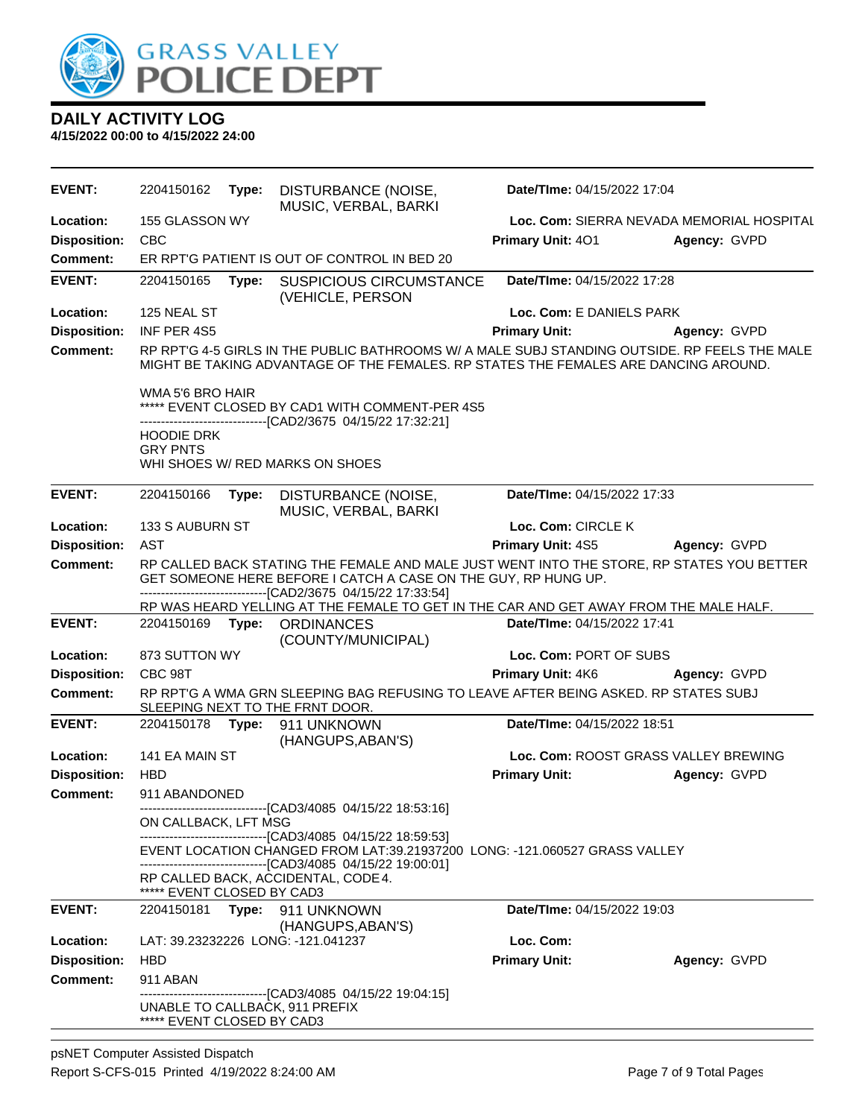

| EVENT:              | 2204150162                           | Type: | DISTURBANCE (NOISE,<br>MUSIC, VERBAL, BARKI                                                                                                                                                                                 | Date/TIme: 04/15/2022 17:04               |              |
|---------------------|--------------------------------------|-------|-----------------------------------------------------------------------------------------------------------------------------------------------------------------------------------------------------------------------------|-------------------------------------------|--------------|
| Location:           | 155 GLASSON WY                       |       |                                                                                                                                                                                                                             | Loc. Com: SIERRA NEVADA MEMORIAL HOSPITAL |              |
| <b>Disposition:</b> | <b>CBC</b>                           |       |                                                                                                                                                                                                                             | Primary Unit: 401                         | Agency: GVPD |
| Comment:            |                                      |       | ER RPT'G PATIENT IS OUT OF CONTROL IN BED 20                                                                                                                                                                                |                                           |              |
| <b>EVENT:</b>       | 2204150165                           | Type: | <b>SUSPICIOUS CIRCUMSTANCE</b><br>(VEHICLE, PERSON                                                                                                                                                                          | Date/TIme: 04/15/2022 17:28               |              |
| Location:           | 125 NEAL ST                          |       |                                                                                                                                                                                                                             | Loc. Com: E DANIELS PARK                  |              |
| <b>Disposition:</b> | INF PER 4S5                          |       |                                                                                                                                                                                                                             | <b>Primary Unit:</b>                      | Agency: GVPD |
| Comment:            |                                      |       | RP RPT'G 4-5 GIRLS IN THE PUBLIC BATHROOMS W/ A MALE SUBJ STANDING OUTSIDE. RP FEELS THE MALE<br>MIGHT BE TAKING ADVANTAGE OF THE FEMALES. RP STATES THE FEMALES ARE DANCING AROUND.                                        |                                           |              |
|                     | WMA 5'6 BRO HAIR                     |       | ***** EVENT CLOSED BY CAD1 WITH COMMENT-PER 4S5<br>-------------[CAD2/3675_04/15/22 17:32:21]                                                                                                                               |                                           |              |
|                     | <b>HOODIE DRK</b><br><b>GRY PNTS</b> |       |                                                                                                                                                                                                                             |                                           |              |
|                     |                                      |       | WHI SHOES W/ RED MARKS ON SHOES                                                                                                                                                                                             |                                           |              |
| <b>EVENT:</b>       | 2204150166                           | Type: | DISTURBANCE (NOISE,<br>MUSIC, VERBAL, BARKI                                                                                                                                                                                 | Date/TIme: 04/15/2022 17:33               |              |
| Location:           | 133 S AUBURN ST                      |       |                                                                                                                                                                                                                             | Loc. Com: CIRCLE K                        |              |
| <b>Disposition:</b> | AST                                  |       |                                                                                                                                                                                                                             | Primary Unit: 4S5                         | Agency: GVPD |
| <b>Comment:</b>     |                                      |       | RP CALLED BACK STATING THE FEMALE AND MALE JUST WENT INTO THE STORE, RP STATES YOU BETTER<br>GET SOMEONE HERE BEFORE I CATCH A CASE ON THE GUY, RP HUNG UP.<br>-------------------------------[CAD2/3675 04/15/22 17:33:54] |                                           |              |
|                     |                                      |       | RP WAS HEARD YELLING AT THE FEMALE TO GET IN THE CAR AND GET AWAY FROM THE MALE HALF.                                                                                                                                       |                                           |              |
| <b>EVENT:</b>       | 2204150169                           | Type: | <b>ORDINANCES</b><br>(COUNTY/MUNICIPAL)                                                                                                                                                                                     | Date/TIme: 04/15/2022 17:41               |              |
| Location:           | 873 SUTTON WY                        |       |                                                                                                                                                                                                                             | Loc. Com: PORT OF SUBS                    |              |
| <b>Disposition:</b> | CBC 98T                              |       |                                                                                                                                                                                                                             | Primary Unit: 4K6                         | Agency: GVPD |
| <b>Comment:</b>     |                                      |       | RP RPT'G A WMA GRN SLEEPING BAG REFUSING TO LEAVE AFTER BEING ASKED. RP STATES SUBJ<br>SLEEPING NEXT TO THE FRNT DOOR.                                                                                                      |                                           |              |
| <b>EVENT:</b>       | 2204150178                           | Type: | 911 UNKNOWN<br>(HANGUPS, ABAN'S)                                                                                                                                                                                            | Date/TIme: 04/15/2022 18:51               |              |
| Location:           | 141 EA MAIN ST                       |       |                                                                                                                                                                                                                             | Loc. Com: ROOST GRASS VALLEY BREWING      |              |
| <b>Disposition:</b> | <b>HBD</b>                           |       |                                                                                                                                                                                                                             | <b>Primary Unit:</b>                      | Agency: GVPD |
| <b>Comment:</b>     | 911 ABANDONED                        |       | -----------------[CAD3/4085 04/15/22 18:53:16]                                                                                                                                                                              |                                           |              |
|                     | ON CALLBACK, LFT MSG                 |       | ------------------------------[CAD3/4085 04/15/22 18:59:53]                                                                                                                                                                 |                                           |              |
|                     |                                      |       | EVENT LOCATION CHANGED FROM LAT:39.21937200 LONG: -121.060527 GRASS VALLEY<br>-------------------------------[CAD3/4085 04/15/22 19:00:01]                                                                                  |                                           |              |
|                     | ***** EVENT CLOSED BY CAD3           |       | RP CALLED BACK, ACCIDENTAL, CODE 4.                                                                                                                                                                                         |                                           |              |
| <b>EVENT:</b>       | 2204150181                           |       | Type: 911 UNKNOWN<br>(HANGUPS, ABAN'S)                                                                                                                                                                                      | Date/TIme: 04/15/2022 19:03               |              |
| Location:           |                                      |       | LAT: 39.23232226 LONG: -121.041237                                                                                                                                                                                          | Loc. Com:                                 |              |
| <b>Disposition:</b> | <b>HBD</b>                           |       |                                                                                                                                                                                                                             | <b>Primary Unit:</b>                      | Agency: GVPD |
| <b>Comment:</b>     | 911 ABAN                             |       |                                                                                                                                                                                                                             |                                           |              |
|                     | ***** EVENT CLOSED BY CAD3           |       | -------------------------------[CAD3/4085 04/15/22 19:04:15]<br>UNABLE TO CALLBACK, 911 PREFIX                                                                                                                              |                                           |              |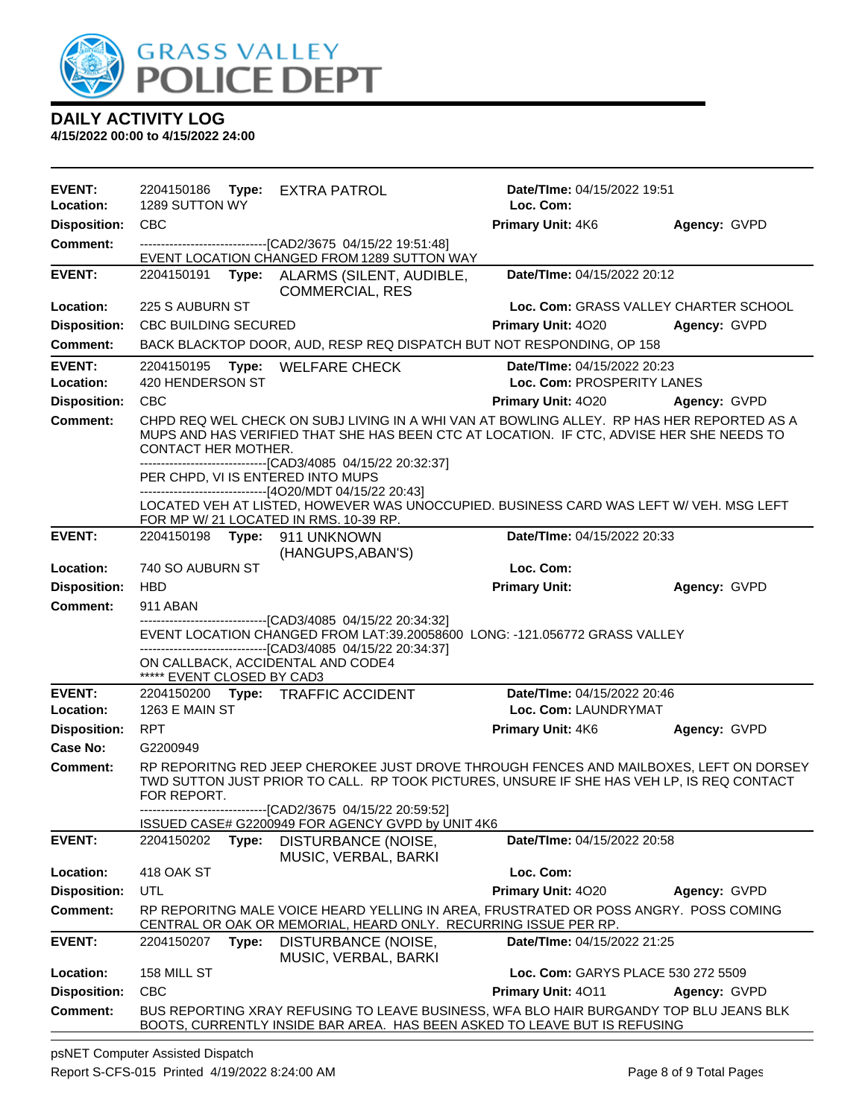

**4/15/2022 00:00 to 4/15/2022 24:00**

| <b>EVENT:</b><br>Location: | 2204150186 Type:<br>1289 SUTTON WY |       | <b>EXTRA PATROL</b>                                                                                                                                               | Date/TIme: 04/15/2022 19:51<br>Loc. Com:                                                                                                                                              |              |
|----------------------------|------------------------------------|-------|-------------------------------------------------------------------------------------------------------------------------------------------------------------------|---------------------------------------------------------------------------------------------------------------------------------------------------------------------------------------|--------------|
| <b>Disposition:</b>        | <b>CBC</b>                         |       |                                                                                                                                                                   | Primary Unit: 4K6                                                                                                                                                                     | Agency: GVPD |
| <b>Comment:</b>            |                                    |       | ---------------------------------[CAD2/3675 04/15/22 19:51:48]                                                                                                    |                                                                                                                                                                                       |              |
|                            |                                    |       | EVENT LOCATION CHANGED FROM 1289 SUTTON WAY                                                                                                                       |                                                                                                                                                                                       |              |
| <b>EVENT:</b>              | 2204150191                         |       | Type: ALARMS (SILENT, AUDIBLE,<br><b>COMMERCIAL, RES</b>                                                                                                          | Date/TIme: 04/15/2022 20:12                                                                                                                                                           |              |
| Location:                  | 225 S AUBURN ST                    |       |                                                                                                                                                                   | Loc. Com: GRASS VALLEY CHARTER SCHOOL                                                                                                                                                 |              |
| <b>Disposition:</b>        | <b>CBC BUILDING SECURED</b>        |       |                                                                                                                                                                   | <b>Primary Unit: 4020</b>                                                                                                                                                             | Agency: GVPD |
| <b>Comment:</b>            |                                    |       |                                                                                                                                                                   | BACK BLACKTOP DOOR, AUD, RESP REQ DISPATCH BUT NOT RESPONDING, OP 158                                                                                                                 |              |
| <b>EVENT:</b>              | 2204150195                         | Type: | <b>WELFARE CHECK</b>                                                                                                                                              | Date/TIme: 04/15/2022 20:23                                                                                                                                                           |              |
| Location:                  | 420 HENDERSON ST                   |       |                                                                                                                                                                   | Loc. Com: PROSPERITY LANES                                                                                                                                                            |              |
| <b>Disposition:</b>        | <b>CBC</b>                         |       |                                                                                                                                                                   | Primary Unit: 4020                                                                                                                                                                    | Agency: GVPD |
| <b>Comment:</b>            | CONTACT HER MOTHER.                |       |                                                                                                                                                                   | CHPD REQ WEL CHECK ON SUBJ LIVING IN A WHI VAN AT BOWLING ALLEY. RP HAS HER REPORTED AS A<br>MUPS AND HAS VERIFIED THAT SHE HAS BEEN CTC AT LOCATION. IF CTC, ADVISE HER SHE NEEDS TO |              |
|                            |                                    |       | -------------------------------[CAD3/4085 04/15/22 20:32:37]<br>PER CHPD, VI IS ENTERED INTO MUPS<br>-----------------------------------[4O20/MDT 04/15/22 20:43] |                                                                                                                                                                                       |              |
|                            |                                    |       | FOR MP W/ 21 LOCATED IN RMS. 10-39 RP.                                                                                                                            | LOCATED VEH AT LISTED, HOWEVER WAS UNOCCUPIED. BUSINESS CARD WAS LEFT W/ VEH. MSG LEFT                                                                                                |              |
| <b>EVENT:</b>              | 2204150198 <b>Type:</b>            |       | 911 UNKNOWN<br>(HANGUPS, ABAN'S)                                                                                                                                  | Date/TIme: 04/15/2022 20:33                                                                                                                                                           |              |
| Location:                  | 740 SO AUBURN ST                   |       |                                                                                                                                                                   | Loc. Com:                                                                                                                                                                             |              |
| <b>Disposition:</b>        | <b>HBD</b>                         |       |                                                                                                                                                                   | <b>Primary Unit:</b>                                                                                                                                                                  | Agency: GVPD |
| <b>Comment:</b>            | 911 ABAN                           |       |                                                                                                                                                                   |                                                                                                                                                                                       |              |
|                            |                                    |       | -----------------------[CAD3/4085 04/15/22 20:34:32]<br>--------------------------------[CAD3/4085 04/15/22 20:34:37]                                             | EVENT LOCATION CHANGED FROM LAT:39.20058600 LONG: -121.056772 GRASS VALLEY                                                                                                            |              |
|                            | ***** EVENT CLOSED BY CAD3         |       | ON CALLBACK, ACCIDENTAL AND CODE4                                                                                                                                 |                                                                                                                                                                                       |              |
| <b>EVENT:</b>              |                                    |       | 2204150200 Type: TRAFFIC ACCIDENT                                                                                                                                 | Date/TIme: 04/15/2022 20:46                                                                                                                                                           |              |
| Location:                  | <b>1263 E MAIN ST</b>              |       |                                                                                                                                                                   | Loc. Com: LAUNDRYMAT                                                                                                                                                                  |              |
| <b>Disposition:</b>        | <b>RPT</b>                         |       |                                                                                                                                                                   | Primary Unit: 4K6                                                                                                                                                                     | Agency: GVPD |
| Case No:                   | G2200949                           |       |                                                                                                                                                                   |                                                                                                                                                                                       |              |
| Comment:                   | FOR REPORT.                        |       | --------------------------------[CAD2/3675 04/15/22 20:59:52]                                                                                                     | RP REPORITNG RED JEEP CHEROKEE JUST DROVE THROUGH FENCES AND MAILBOXES, LEFT ON DORSEY<br>TWD SUTTON JUST PRIOR TO CALL. RP TOOK PICTURES, UNSURE IF SHE HAS VEH LP, IS REQ CONTACT   |              |
|                            |                                    |       | ISSUED CASE# G2200949 FOR AGENCY GVPD by UNIT 4K6                                                                                                                 |                                                                                                                                                                                       |              |
| <b>EVENT:</b>              | 2204150202                         | Type: | DISTURBANCE (NOISE,<br>MUSIC, VERBAL, BARKI                                                                                                                       | Date/TIme: 04/15/2022 20:58                                                                                                                                                           |              |
| Location:                  | 418 OAK ST                         |       |                                                                                                                                                                   | Loc. Com:                                                                                                                                                                             |              |
| <b>Disposition:</b>        | UTL                                |       |                                                                                                                                                                   | Primary Unit: 4020                                                                                                                                                                    | Agency: GVPD |
| <b>Comment:</b>            |                                    |       |                                                                                                                                                                   | RP REPORITNG MALE VOICE HEARD YELLING IN AREA, FRUSTRATED OR POSS ANGRY. POSS COMING<br>CENTRAL OR OAK OR MEMORIAL, HEARD ONLY. RECURRING ISSUE PER RP.                               |              |
| <b>EVENT:</b>              | 2204150207                         | Type: | DISTURBANCE (NOISE,<br>MUSIC, VERBAL, BARKI                                                                                                                       | Date/TIme: 04/15/2022 21:25                                                                                                                                                           |              |
| Location:                  | 158 MILL ST                        |       |                                                                                                                                                                   | Loc. Com: GARYS PLACE 530 272 5509                                                                                                                                                    |              |
| <b>Disposition:</b>        | <b>CBC</b>                         |       |                                                                                                                                                                   | Primary Unit: 4011                                                                                                                                                                    | Agency: GVPD |
| <b>Comment:</b>            |                                    |       |                                                                                                                                                                   | BUS REPORTING XRAY REFUSING TO LEAVE BUSINESS, WFA BLO HAIR BURGANDY TOP BLU JEANS BLK<br>BOOTS, CURRENTLY INSIDE BAR AREA. HAS BEEN ASKED TO LEAVE BUT IS REFUSING                   |              |

psNET Computer Assisted Dispatch Report S-CFS-015 Printed 4/19/2022 8:24:00 AM Page 8 of 9 Total Pages